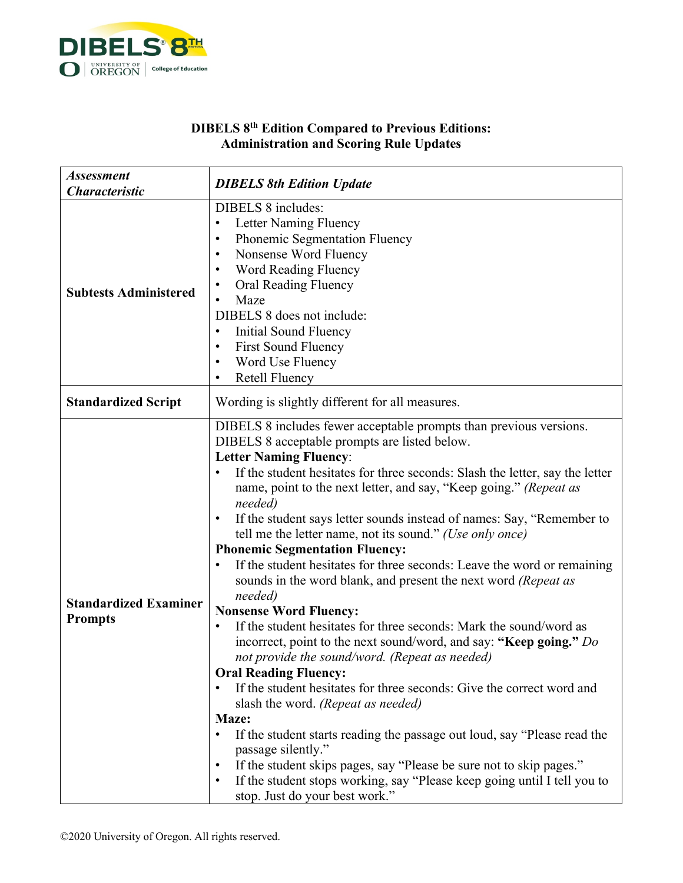

## **DIBELS 8th Edition Compared to Previous Editions: Administration and Scoring Rule Updates**

| <b>Assessment</b><br><b>Characteristic</b>     | <b>DIBELS 8th Edition Update</b>                                                                                                                                                                                                                                                                                                                                                                                                                                                                                                                                                                                                                                                                                                                                                                                                                                                                                                                                                                                                                                                                                                                                                                                                                                                                                                                                                             |
|------------------------------------------------|----------------------------------------------------------------------------------------------------------------------------------------------------------------------------------------------------------------------------------------------------------------------------------------------------------------------------------------------------------------------------------------------------------------------------------------------------------------------------------------------------------------------------------------------------------------------------------------------------------------------------------------------------------------------------------------------------------------------------------------------------------------------------------------------------------------------------------------------------------------------------------------------------------------------------------------------------------------------------------------------------------------------------------------------------------------------------------------------------------------------------------------------------------------------------------------------------------------------------------------------------------------------------------------------------------------------------------------------------------------------------------------------|
| <b>Subtests Administered</b>                   | <b>DIBELS 8</b> includes:<br>Letter Naming Fluency<br>$\bullet$<br>Phonemic Segmentation Fluency<br>$\bullet$<br>Nonsense Word Fluency<br>$\bullet$<br>Word Reading Fluency<br>Oral Reading Fluency<br>$\bullet$<br>Maze<br>$\bullet$<br>DIBELS 8 does not include:<br>Initial Sound Fluency<br>$\bullet$<br><b>First Sound Fluency</b><br>$\bullet$<br>Word Use Fluency<br>Retell Fluency                                                                                                                                                                                                                                                                                                                                                                                                                                                                                                                                                                                                                                                                                                                                                                                                                                                                                                                                                                                                   |
| <b>Standardized Script</b>                     | Wording is slightly different for all measures.                                                                                                                                                                                                                                                                                                                                                                                                                                                                                                                                                                                                                                                                                                                                                                                                                                                                                                                                                                                                                                                                                                                                                                                                                                                                                                                                              |
| <b>Standardized Examiner</b><br><b>Prompts</b> | DIBELS 8 includes fewer acceptable prompts than previous versions.<br>DIBELS 8 acceptable prompts are listed below.<br><b>Letter Naming Fluency:</b><br>If the student hesitates for three seconds: Slash the letter, say the letter<br>name, point to the next letter, and say, "Keep going." (Repeat as<br>needed)<br>If the student says letter sounds instead of names: Say, "Remember to<br>tell me the letter name, not its sound." (Use only once)<br><b>Phonemic Segmentation Fluency:</b><br>If the student hesitates for three seconds: Leave the word or remaining<br>sounds in the word blank, and present the next word (Repeat as<br>needed)<br><b>Nonsense Word Fluency:</b><br>If the student hesitates for three seconds: Mark the sound/word as<br>$\bullet$<br>incorrect, point to the next sound/word, and say: "Keep going." Do<br>not provide the sound/word. (Repeat as needed)<br><b>Oral Reading Fluency:</b><br>If the student hesitates for three seconds: Give the correct word and<br>slash the word. (Repeat as needed)<br>Maze:<br>If the student starts reading the passage out loud, say "Please read the<br>$\bullet$<br>passage silently."<br>If the student skips pages, say "Please be sure not to skip pages."<br>$\bullet$<br>If the student stops working, say "Please keep going until I tell you to<br>$\bullet$<br>stop. Just do your best work." |